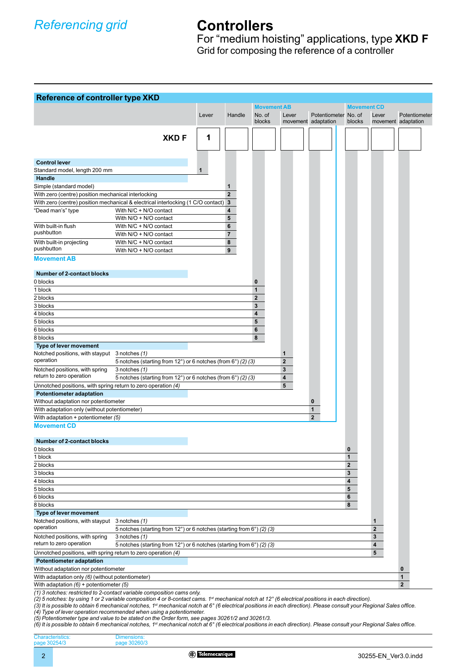# **Controllers**

For "medium hoisting" applications, type **XKD F** Grid for composing the reference of a controller

| <b>Reference of controller type XKD</b>                       |                                                                                    |       |                  |                    |                         |                      |                    |             |                     |
|---------------------------------------------------------------|------------------------------------------------------------------------------------|-------|------------------|--------------------|-------------------------|----------------------|--------------------|-------------|---------------------|
|                                                               |                                                                                    |       |                  | <b>Movement AB</b> |                         |                      | <b>Movement CD</b> |             |                     |
|                                                               |                                                                                    | Lever | Handle           | No. of             | Lever                   | Potentiometer No. of |                    | Lever       | Potentiometer       |
|                                                               |                                                                                    |       |                  | blocks             |                         | movement adaptation  | blocks             |             | movement adaptation |
|                                                               |                                                                                    |       |                  |                    |                         |                      |                    |             |                     |
|                                                               | <b>XKDF</b>                                                                        | 1     |                  |                    |                         |                      |                    |             |                     |
|                                                               |                                                                                    |       |                  |                    |                         |                      |                    |             |                     |
| <b>Control lever</b>                                          |                                                                                    |       |                  |                    |                         |                      |                    |             |                     |
| Standard model, length 200 mm                                 |                                                                                    | 1     |                  |                    |                         |                      |                    |             |                     |
| <b>Handle</b>                                                 |                                                                                    |       |                  |                    |                         |                      |                    |             |                     |
| Simple (standard model)                                       |                                                                                    |       | 1                |                    |                         |                      |                    |             |                     |
| With zero (centre) position mechanical interlocking           |                                                                                    |       | $\overline{2}$   |                    |                         |                      |                    |             |                     |
|                                                               | With zero (centre) position mechanical & electrical interlocking (1 C/O contact) 3 |       |                  |                    |                         |                      |                    |             |                     |
| "Dead man's" type                                             | With N/C + N/O contact                                                             |       | 4                |                    |                         |                      |                    |             |                     |
|                                                               | With N/O + N/O contact                                                             |       | 5                |                    |                         |                      |                    |             |                     |
| With built-in flush<br>pushbutton                             | With N/C + N/O contact                                                             |       | $6\phantom{1}6$  |                    |                         |                      |                    |             |                     |
|                                                               | With N/O + N/O contact                                                             |       | $\overline{7}$   |                    |                         |                      |                    |             |                     |
| With built-in projecting<br>pushbutton                        | With N/C + N/O contact                                                             |       | 8                |                    |                         |                      |                    |             |                     |
|                                                               | With N/O + N/O contact                                                             |       | $\boldsymbol{9}$ |                    |                         |                      |                    |             |                     |
| <b>Movement AB</b>                                            |                                                                                    |       |                  |                    |                         |                      |                    |             |                     |
| Number of 2-contact blocks                                    |                                                                                    |       |                  |                    |                         |                      |                    |             |                     |
| 0 blocks                                                      |                                                                                    |       |                  | 0                  |                         |                      |                    |             |                     |
| 1 block                                                       |                                                                                    |       |                  | 1                  |                         |                      |                    |             |                     |
| 2 blocks                                                      |                                                                                    |       |                  | $\overline{2}$     |                         |                      |                    |             |                     |
| 3 blocks                                                      |                                                                                    |       |                  | 3                  |                         |                      |                    |             |                     |
| 4 blocks                                                      |                                                                                    |       |                  | 4                  |                         |                      |                    |             |                     |
| 5 blocks                                                      |                                                                                    |       |                  | 5                  |                         |                      |                    |             |                     |
| 6 blocks                                                      |                                                                                    |       |                  | 6                  |                         |                      |                    |             |                     |
| 8 blocks                                                      |                                                                                    |       |                  | 8                  |                         |                      |                    |             |                     |
| Type of lever movement                                        |                                                                                    |       |                  |                    |                         |                      |                    |             |                     |
| Notched positions, with stayput 3 notches (1)<br>operation    |                                                                                    |       |                  |                    | 1                       |                      |                    |             |                     |
|                                                               | 5 notches (starting from 12°) or 6 notches (from 6°) (2) (3)                       |       |                  |                    | $\overline{\mathbf{2}}$ |                      |                    |             |                     |
| Notched positions, with spring                                | 3 notches (1)                                                                      |       |                  |                    | 3                       |                      |                    |             |                     |
| return to zero operation                                      | 5 notches (starting from 12°) or 6 notches (from 6°) (2) (3)                       |       |                  |                    | 4                       |                      |                    |             |                     |
| Unnotched positions, with spring return to zero operation (4) |                                                                                    |       |                  |                    | 5                       |                      |                    |             |                     |
| <b>Potentiometer adaptation</b>                               |                                                                                    |       |                  |                    |                         |                      |                    |             |                     |
| Without adaptation nor potentiometer                          |                                                                                    |       |                  |                    |                         | 0                    |                    |             |                     |
| With adaptation only (without potentiometer)                  |                                                                                    |       |                  |                    |                         | 1                    |                    |             |                     |
| With adaptation + potentiometer (5)                           |                                                                                    |       |                  |                    |                         | $\overline{2}$       |                    |             |                     |
| <b>Movement CD</b>                                            |                                                                                    |       |                  |                    |                         |                      |                    |             |                     |
|                                                               |                                                                                    |       |                  |                    |                         |                      |                    |             |                     |
| <b>Number of 2-contact blocks</b><br>0 blocks                 |                                                                                    |       |                  |                    |                         |                      | $\bf{0}$           |             |                     |
| 1 block                                                       |                                                                                    |       |                  |                    |                         |                      | 1                  |             |                     |
| 2 blocks                                                      |                                                                                    |       |                  |                    |                         |                      | $\mathbf{2}$       |             |                     |
| 3 blocks                                                      |                                                                                    |       |                  |                    |                         |                      | 3                  |             |                     |
| 4 blocks                                                      |                                                                                    |       |                  |                    |                         |                      | 4                  |             |                     |
| 5 blocks                                                      |                                                                                    |       |                  |                    |                         |                      | 5                  |             |                     |
| 6 blocks                                                      |                                                                                    |       |                  |                    |                         |                      | 6                  |             |                     |
| 8 blocks                                                      |                                                                                    |       |                  |                    |                         |                      | 8                  |             |                     |
| Type of lever movement                                        |                                                                                    |       |                  |                    |                         |                      |                    |             |                     |
| Notched positions, with stayput 3 notches (1)                 |                                                                                    |       |                  |                    |                         |                      |                    | 1           |                     |
| operation                                                     | 5 notches (starting from 12°) or 6 notches (starting from 6°) (2) (3)              |       |                  |                    |                         |                      |                    | $\mathbf 2$ |                     |
| Notched positions, with spring<br>return to zero operation    | 3 notches (1)                                                                      |       |                  |                    |                         |                      |                    | 3           |                     |
|                                                               | 5 notches (starting from 12°) or 6 notches (starting from 6°) (2) (3)              |       |                  |                    |                         |                      |                    | 4           |                     |
| Unnotched positions, with spring return to zero operation (4) |                                                                                    |       |                  |                    |                         |                      |                    | 5           |                     |
| <b>Potentiometer adaptation</b>                               |                                                                                    |       |                  |                    |                         |                      |                    |             |                     |
| Without adaptation nor potentiometer                          |                                                                                    |       |                  |                    |                         |                      |                    |             | 0                   |
| With adaptation only (6) (without potentiometer)              |                                                                                    |       |                  |                    |                         |                      |                    |             | $\mathbf{1}$        |
| With adaptation $(6)$ + potentiometer $(5)$                   |                                                                                    |       |                  |                    |                         |                      |                    |             | $\overline{2}$      |
|                                                               | (1) 3 notches: restricted to 2-contact variable composition cams only              |       |                  |                    |                         |                      |                    |             |                     |

(1) 3 notches: restricted to 2-contact variable composition cams only.<br>(2) 5 notches: by using 1 or 2 variable composition 4 or 8-contact cams. 1¤ mechanical notch at 12° (6 electrical positions in each direction).<br>(3) It

*(4) Type of lever operation recommended when using a potentiometer.*

Dimensions: page 30260/3

(5) Potentiometer type and value to be stated on the Order form, see pages 30261/2 and 30261/3.<br>(6) It is possible to obtain 6 mechanical notches, 1¤ mechanical notch at 6° (6 electrical positions in each direction). Pleas

Characteristics: page 30254/3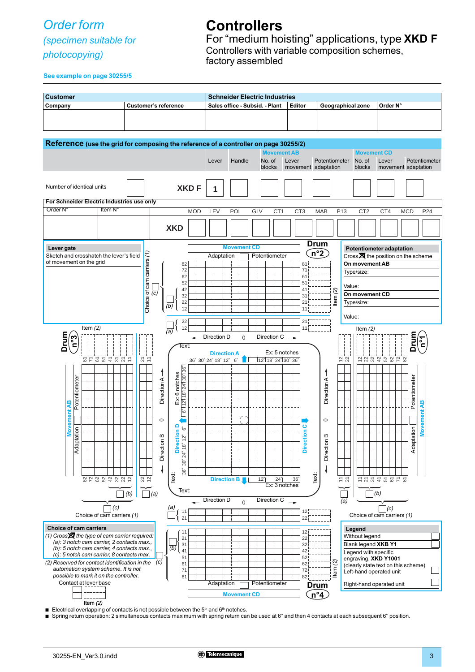## *Order form*

### *(specimen suitable for*

*photocopying)* 

## **Controllers**

For "medium hoisting" applications, type **XKD F** Controllers with variable composition schemes, factory assembled

**See example on page 30255/5**



Electrical overlapping of contacts is not possible between the  $5<sup>th</sup>$  and  $6<sup>th</sup>$  notches.

Spring return operation: 2 simultaneous contacts maximum with spring return can be used at 6° and then 4 contacts at each subsequent 6° position.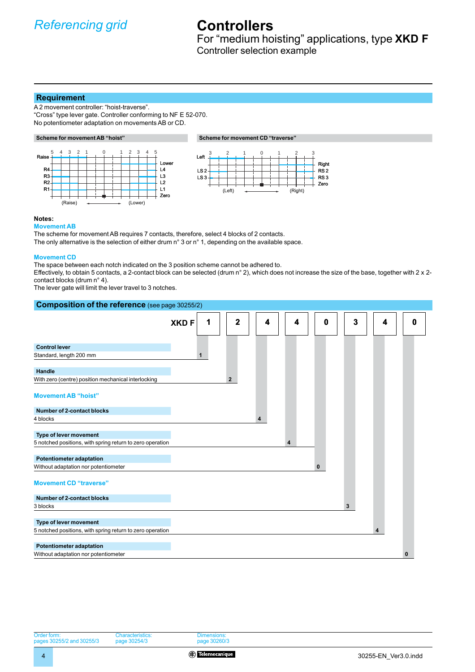# **Controllers**

For "medium hoisting" applications, type **XKD F** Controller selection example

#### **Requirement**

A 2 movement controller: "hoist-traverse". "Cross" type lever gate. Controller conforming to NF E 52-070. No potentiometer adaptation on movements AB or CD.





#### **Notes:**

**Movement AB**

The scheme for movement AB requires 7 contacts, therefore, select 4 blocks of 2 contacts.

The only alternative is the selection of either drum n° 3 or n° 1, depending on the available space.

#### **Movement CD**

The space between each notch indicated on the 3 position scheme cannot be adhered to.

Effectively, to obtain 5 contacts, a 2-contact block can be selected (drum  $n^{\circ}$  2), which does not increase the size of the base, together with 2 x 2contact blocks (drum n° 4).

The lever gate will limit the lever travel to 3 notches.